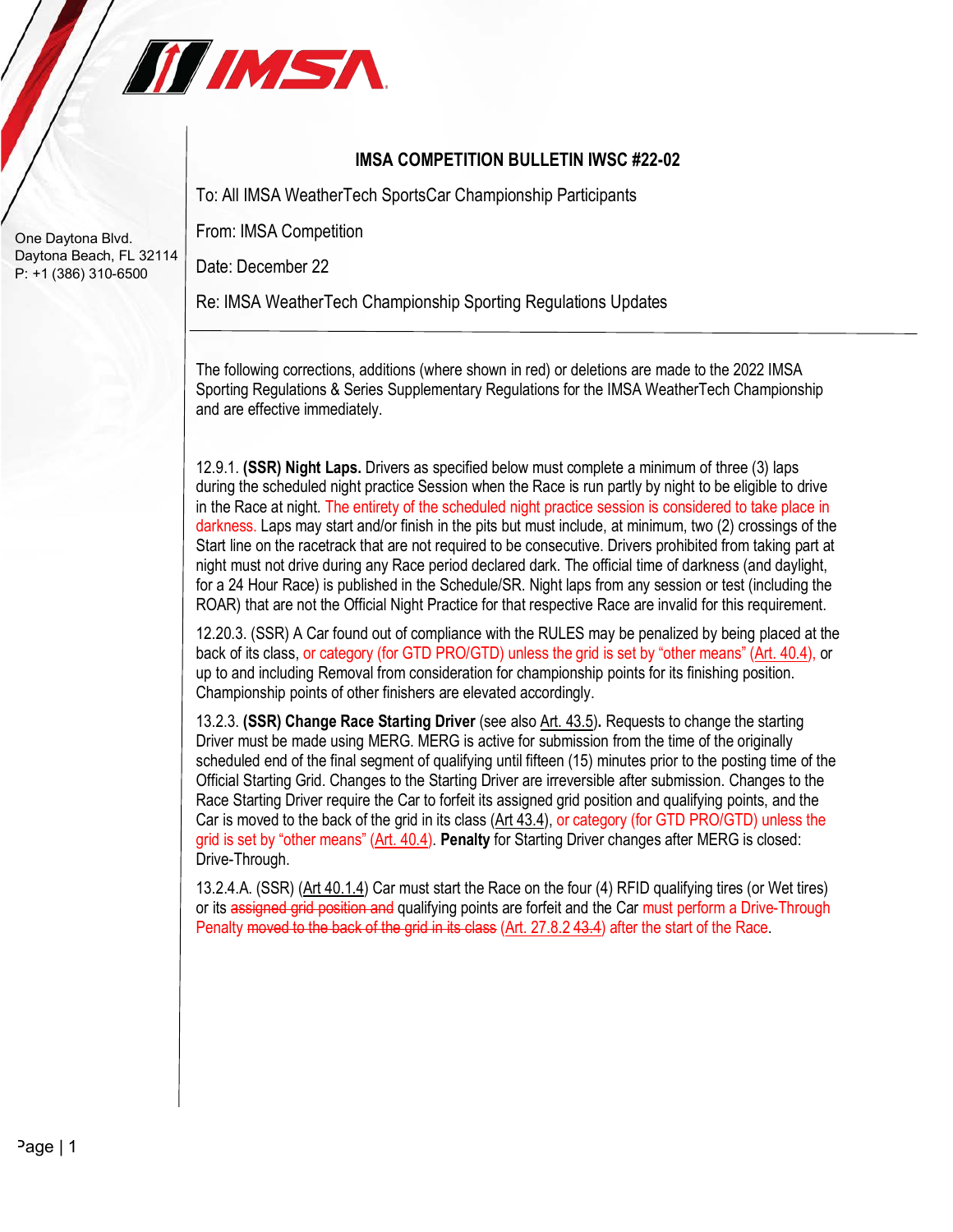

## **IMSA COMPETITION BULLETIN IWSC #22-02**

To: All IMSA WeatherTech SportsCar Championship Participants

From: IMSA Competition

Date: December 22

Re: IMSA WeatherTech Championship Sporting Regulations Updates

The following corrections, additions (where shown in red) or deletions are made to the 2022 IMSA Sporting Regulations & Series Supplementary Regulations for the IMSA WeatherTech Championship and are effective immediately.

12.9.1. **(SSR) Night Laps.** Drivers as specified below must complete a minimum of three (3) laps during the scheduled night practice Session when the Race is run partly by night to be eligible to drive in the Race at night. The entirety of the scheduled night practice session is considered to take place in darkness. Laps may start and/or finish in the pits but must include, at minimum, two (2) crossings of the Start line on the racetrack that are not required to be consecutive. Drivers prohibited from taking part at night must not drive during any Race period declared dark. The official time of darkness (and daylight, for a 24 Hour Race) is published in the Schedule/SR. Night laps from any session or test (including the ROAR) that are not the Official Night Practice for that respective Race are invalid for this requirement.

12.20.3. (SSR) A Car found out of compliance with the RULES may be penalized by being placed at the back of its class, or category (for GTD PRO/GTD) unless the grid is set by "other means" (Art. 40.4), or up to and including Removal from consideration for championship points for its finishing position. Championship points of other finishers are elevated accordingly.

13.2.3. **(SSR) Change Race Starting Driver** (see also Art. 43.5)**.** Requests to change the starting Driver must be made using MERG. MERG is active for submission from the time of the originally scheduled end of the final segment of qualifying until fifteen (15) minutes prior to the posting time of the Official Starting Grid. Changes to the Starting Driver are irreversible after submission. Changes to the Race Starting Driver require the Car to forfeit its assigned grid position and qualifying points, and the Car is moved to the back of the grid in its class (Art 43.4), or category (for GTD PRO/GTD) unless the grid is set by "other means" (Art. 40.4). **Penalty** for Starting Driver changes after MERG is closed: Drive-Through.

13.2.4.A. (SSR) (Art 40.1.4) Car must start the Race on the four (4) RFID qualifying tires (or Wet tires) or its assigned grid position and qualifying points are forfeit and the Car must perform a Drive-Through Penalty moved to the back of the grid in its class (Art. 27.8.2 43.4) after the start of the Race.

One Daytona Blvd. Daytona Beach, FL 32114 P: +1 (386) 310-6500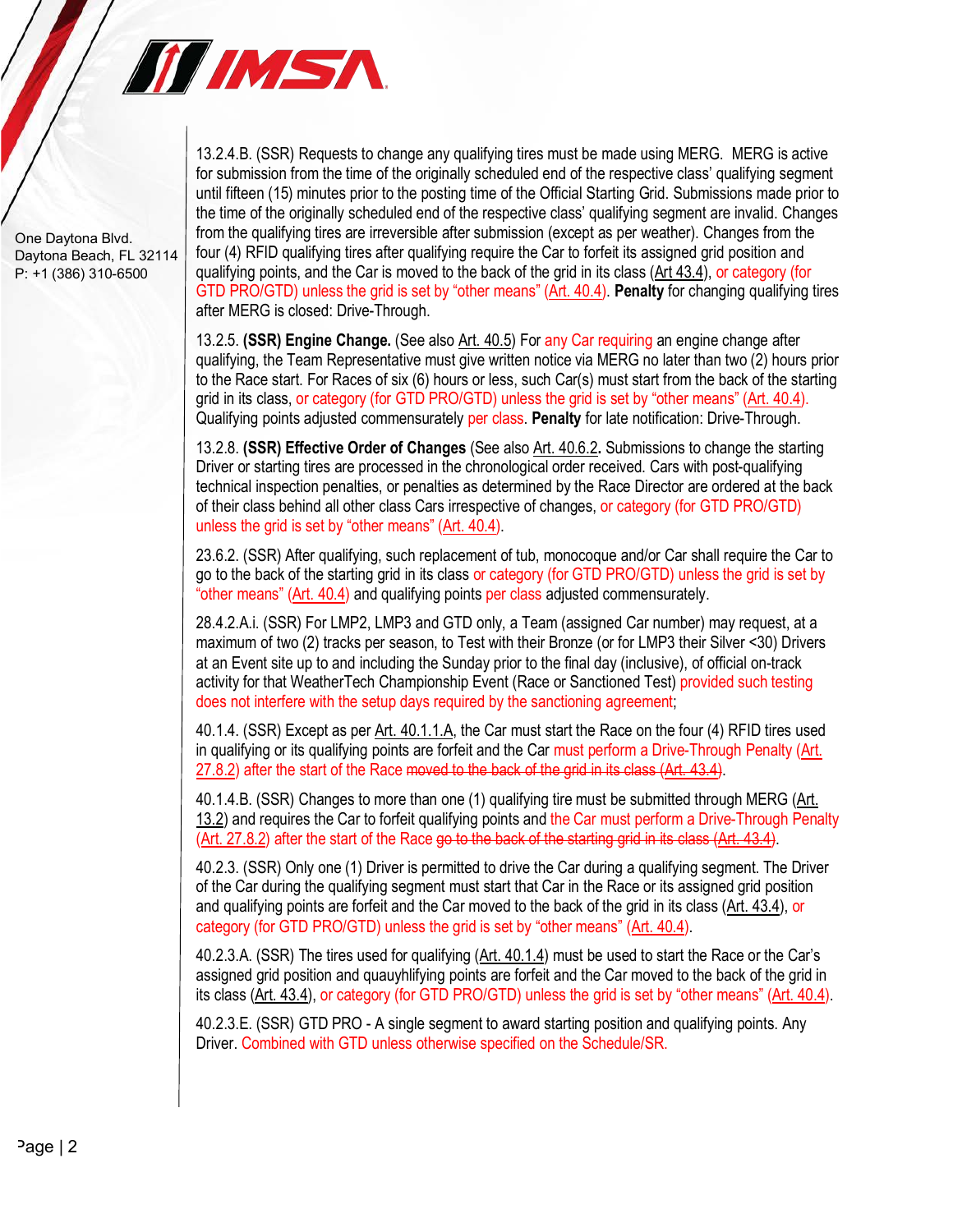

One Daytona Blvd. Daytona Beach, FL 32114 P: +1 (386) 310-6500

13.2.4.B. (SSR) Requests to change any qualifying tires must be made using MERG. MERG is active for submission from the time of the originally scheduled end of the respective class' qualifying segment until fifteen (15) minutes prior to the posting time of the Official Starting Grid. Submissions made prior to the time of the originally scheduled end of the respective class' qualifying segment are invalid. Changes from the qualifying tires are irreversible after submission (except as per weather). Changes from the four (4) RFID qualifying tires after qualifying require the Car to forfeit its assigned grid position and qualifying points, and the Car is moved to the back of the grid in its class (Art 43.4), or category (for GTD PRO/GTD) unless the grid is set by "other means" (Art. 40.4). **Penalty** for changing qualifying tires after MERG is closed: Drive-Through.

13.2.5. **(SSR) Engine Change.** (See also Art. 40.5) For any Car requiring an engine change after qualifying, the Team Representative must give written notice via MERG no later than two (2) hours prior to the Race start. For Races of six (6) hours or less, such Car(s) must start from the back of the starting grid in its class, or category (for GTD PRO/GTD) unless the grid is set by "other means" (Art. 40.4). Qualifying points adjusted commensurately per class. **Penalty** for late notification: Drive-Through.

13.2.8. **(SSR) Effective Order of Changes** (See also Art. 40.6.2**.** Submissions to change the starting Driver or starting tires are processed in the chronological order received. Cars with post-qualifying technical inspection penalties, or penalties as determined by the Race Director are ordered at the back of their class behind all other class Cars irrespective of changes, or category (for GTD PRO/GTD) unless the grid is set by "other means" (Art. 40.4).

23.6.2. (SSR) After qualifying, such replacement of tub, monocoque and/or Car shall require the Car to go to the back of the starting grid in its class or category (for GTD PRO/GTD) unless the grid is set by "other means" (Art. 40.4) and qualifying points per class adjusted commensurately.

28.4.2.A.i. (SSR) For LMP2, LMP3 and GTD only, a Team (assigned Car number) may request, at a maximum of two (2) tracks per season, to Test with their Bronze (or for LMP3 their Silver <30) Drivers at an Event site up to and including the Sunday prior to the final day (inclusive), of official on-track activity for that WeatherTech Championship Event (Race or Sanctioned Test) provided such testing does not interfere with the setup days required by the sanctioning agreement;

40.1.4. (SSR) Except as per Art. 40.1.1.A, the Car must start the Race on the four (4) RFID tires used in qualifying or its qualifying points are forfeit and the Car must perform a Drive-Through Penalty (Art. 27.8.2) after the start of the Race moved to the back of the grid in its class (Art. 43.4).

40.1.4.B. (SSR) Changes to more than one (1) qualifying tire must be submitted through MERG (Art. 13.2) and requires the Car to forfeit qualifying points and the Car must perform a Drive-Through Penalty (Art. 27.8.2) after the start of the Race go to the back of the starting grid in its class (Art. 43.4).

40.2.3. (SSR) Only one (1) Driver is permitted to drive the Car during a qualifying segment. The Driver of the Car during the qualifying segment must start that Car in the Race or its assigned grid position and qualifying points are forfeit and the Car moved to the back of the grid in its class (Art. 43.4), or category (for GTD PRO/GTD) unless the grid is set by "other means" (Art. 40.4).

40.2.3.A. (SSR) The tires used for qualifying (Art. 40.1.4) must be used to start the Race or the Car's assigned grid position and quauyhlifying points are forfeit and the Car moved to the back of the grid in its class (Art. 43.4), or category (for GTD PRO/GTD) unless the grid is set by "other means" (Art. 40.4).

40.2.3.E. (SSR) GTD PRO - A single segment to award starting position and qualifying points. Any Driver. Combined with GTD unless otherwise specified on the Schedule/SR.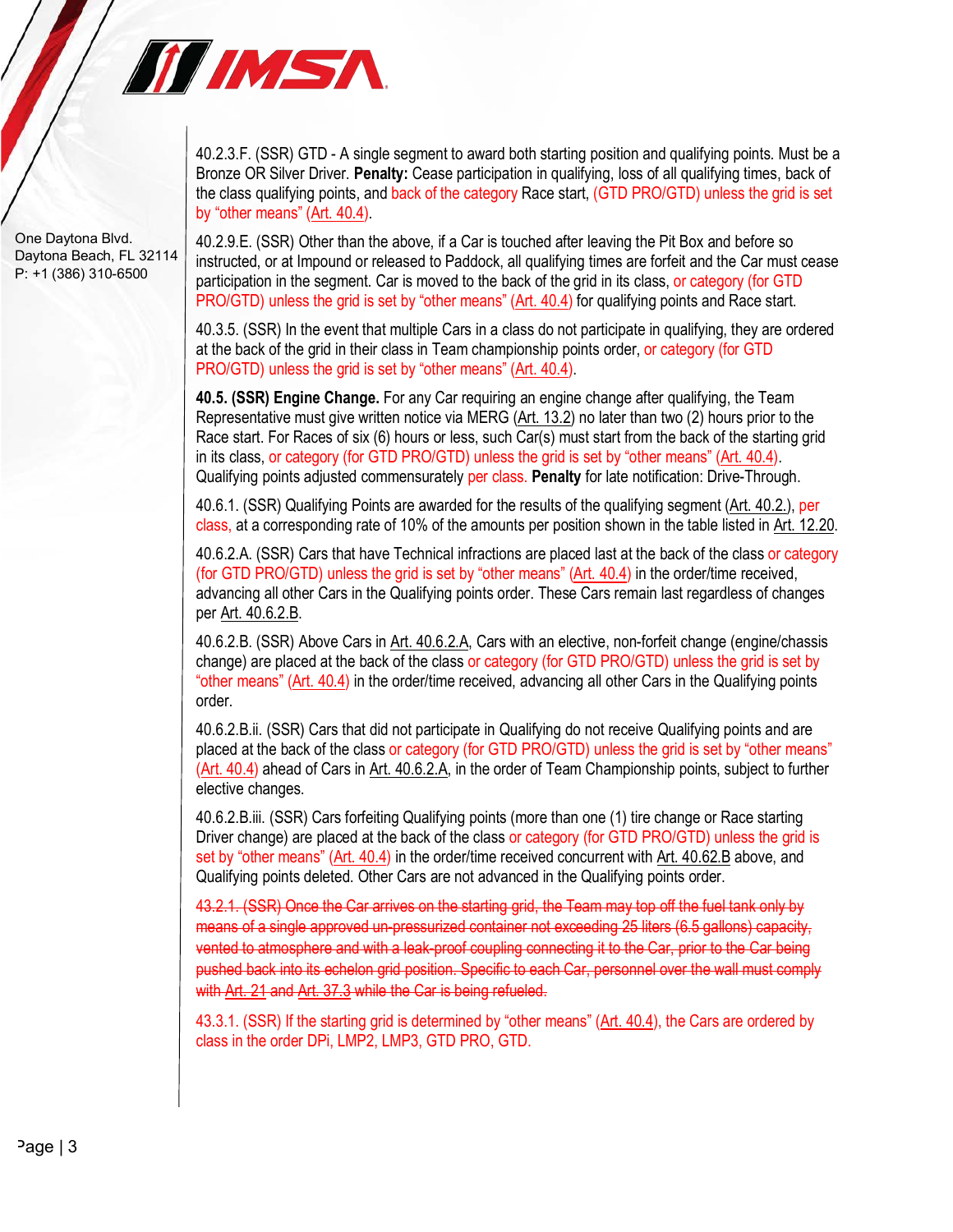

One Daytona Blvd. Daytona Beach, FL 32114 P: +1 (386) 310-6500

40.2.3.F. (SSR) GTD - A single segment to award both starting position and qualifying points. Must be a Bronze OR Silver Driver. **Penalty:** Cease participation in qualifying, loss of all qualifying times, back of the class qualifying points, and back of the category Race start, (GTD PRO/GTD) unless the grid is set by "other means" (Art. 40.4).

40.2.9.E. (SSR) Other than the above, if a Car is touched after leaving the Pit Box and before so instructed, or at Impound or released to Paddock, all qualifying times are forfeit and the Car must cease participation in the segment. Car is moved to the back of the grid in its class, or category (for GTD PRO/GTD) unless the grid is set by "other means" (Art. 40.4) for qualifying points and Race start.

40.3.5. (SSR) In the event that multiple Cars in a class do not participate in qualifying, they are ordered at the back of the grid in their class in Team championship points order, or category (for GTD PRO/GTD) unless the grid is set by "other means" (Art. 40.4).

**40.5. (SSR) Engine Change.** For any Car requiring an engine change after qualifying, the Team Representative must give written notice via MERG (Art. 13.2) no later than two (2) hours prior to the Race start. For Races of six (6) hours or less, such Car(s) must start from the back of the starting grid in its class, or category (for GTD PRO/GTD) unless the grid is set by "other means" (Art. 40.4). Qualifying points adjusted commensurately per class. **Penalty** for late notification: Drive-Through.

40.6.1. (SSR) Qualifying Points are awarded for the results of the qualifying segment (Art. 40.2.), per class, at a corresponding rate of 10% of the amounts per position shown in the table listed in Art. 12.20.

40.6.2.A. (SSR) Cars that have Technical infractions are placed last at the back of the class or category (for GTD PRO/GTD) unless the grid is set by "other means" (Art. 40.4) in the order/time received, advancing all other Cars in the Qualifying points order. These Cars remain last regardless of changes per Art. 40.6.2.B.

40.6.2.B. (SSR) Above Cars in Art. 40.6.2.A, Cars with an elective, non-forfeit change (engine/chassis change) are placed at the back of the class or category (for GTD PRO/GTD) unless the grid is set by "other means" (Art. 40.4) in the order/time received, advancing all other Cars in the Qualifying points order.

40.6.2.B.ii. (SSR) Cars that did not participate in Qualifying do not receive Qualifying points and are placed at the back of the class or category (for GTD PRO/GTD) unless the grid is set by "other means" (Art. 40.4) ahead of Cars in Art. 40.6.2.A, in the order of Team Championship points, subject to further elective changes.

40.6.2.B.iii. (SSR) Cars forfeiting Qualifying points (more than one (1) tire change or Race starting Driver change) are placed at the back of the class or category (for GTD PRO/GTD) unless the grid is set by "other means" (Art. 40.4) in the order/time received concurrent with Art. 40.62.B above, and Qualifying points deleted. Other Cars are not advanced in the Qualifying points order.

43.2.1. (SSR) Once the Car arrives on the starting grid, the Team may top off the fuel tank only by means of a single approved un-pressurized container not exceeding 25 liters (6.5 gallons) capacity, vented to atmosphere and with a leak-proof coupling connecting it to the Car, prior to the Car being pushed back into its echelon grid position. Specific to each Car, personnel over the wall must comply with Art. 21 and Art. 37.3 while the Car is being refueled.

43.3.1. (SSR) If the starting grid is determined by "other means" (Art. 40.4), the Cars are ordered by class in the order DPi, LMP2, LMP3, GTD PRO, GTD.